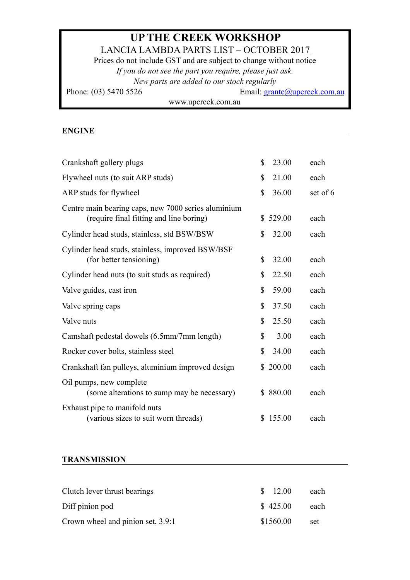# **UP THE CREEK WORKSHOP**  LANCIA LAMBDA PARTS LIST – OCTOBER 2017

Prices do not include GST and are subject to change without notice *If you do not see the part you require, please just ask. New parts are added to our stock regularly*  Phone: (03) 5470 5526 Email: [grantc@upcreek.com.au](mailto:grantc@upcreek.com.au) www.upcreek.com.au

#### **ENGINE**

| Crankshaft gallery plugs                                                                       | $\mathbb{S}$ | 23.00  | each     |
|------------------------------------------------------------------------------------------------|--------------|--------|----------|
| Flywheel nuts (to suit ARP studs)                                                              | \$           | 21.00  | each     |
| ARP studs for flywheel                                                                         | $\mathbb{S}$ | 36.00  | set of 6 |
| Centre main bearing caps, new 7000 series aluminium<br>(require final fitting and line boring) | S            | 529.00 | each     |
| Cylinder head studs, stainless, std BSW/BSW                                                    | \$           | 32.00  | each     |
| Cylinder head studs, stainless, improved BSW/BSF<br>(for better tensioning)                    | \$           | 32.00  | each     |
| Cylinder head nuts (to suit studs as required)                                                 | \$           | 22.50  | each     |
| Valve guides, cast iron                                                                        | $\mathbb{S}$ | 59.00  | each     |
| Valve spring caps                                                                              | \$           | 37.50  | each     |
| Valve nuts                                                                                     | \$           | 25.50  | each     |
| Camshaft pedestal dowels (6.5mm/7mm length)                                                    | \$           | 3.00   | each     |
| Rocker cover bolts, stainless steel                                                            | \$           | 34.00  | each     |
| Crankshaft fan pulleys, aluminium improved design                                              | S            | 200.00 | each     |
| Oil pumps, new complete<br>(some alterations to sump may be necessary)                         | S            | 880.00 | each     |
| Exhaust pipe to manifold nuts<br>(various sizes to suit worn threads)                          | \$           | 155.00 | each     |

### **TRANSMISSION**

| Clutch lever thrust bearings      | \$12.00   | each |
|-----------------------------------|-----------|------|
| Diff pinion pod                   | \$425.00  | each |
| Crown wheel and pinion set, 3.9:1 | \$1560.00 | set  |